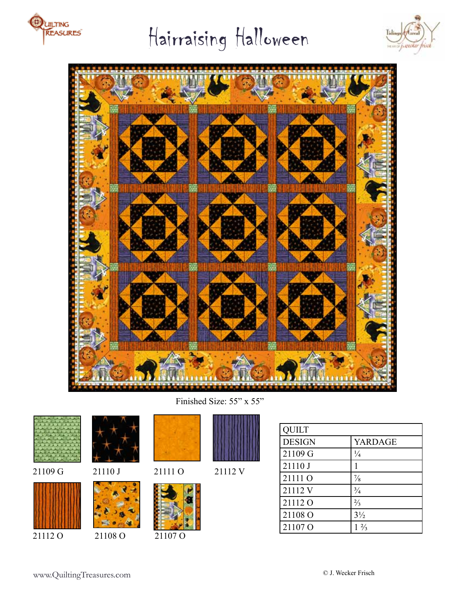

# Hairraising Halloween





Finished Size: 55" x 55"







21112 O 21108 O 21107 O





152783154191981

QUILT

| <b>DESIGN</b>      | YARDAGE        |
|--------------------|----------------|
| 21109 G            | $\frac{1}{4}$  |
| 21110 J            |                |
| 21111 O            | $\frac{7}{8}$  |
| 21112V             | $^{3}/_{4}$    |
| 21112 <sub>0</sub> | $\frac{2}{3}$  |
| 21108 O            | $3\frac{1}{2}$ |
| 21107 <sub>O</sub> | $1\frac{2}{3}$ |